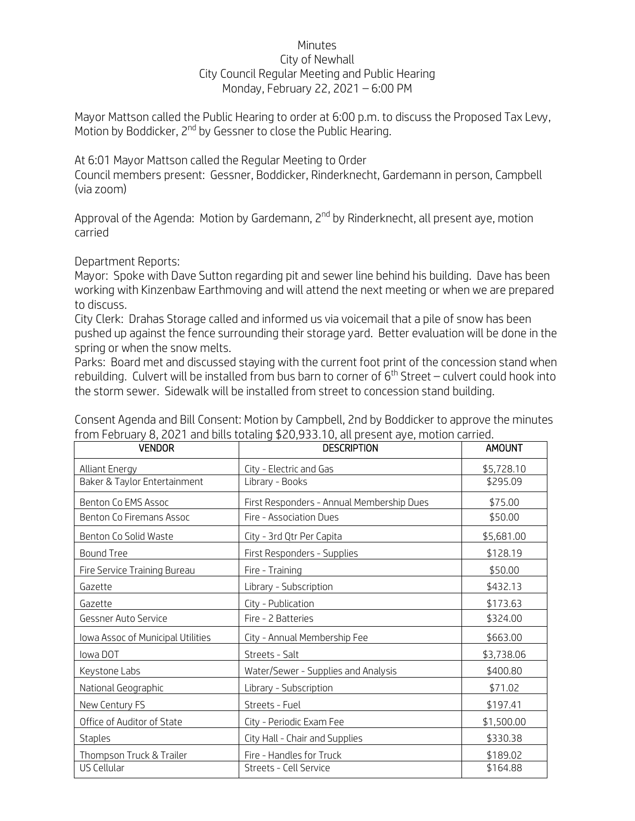## Minutes City of Newhall City Council Regular Meeting and Public Hearing Monday, February 22, 2021 – 6:00 PM

Mayor Mattson called the Public Hearing to order at 6:00 p.m. to discuss the Proposed Tax Levy, Motion by Boddicker, 2<sup>nd</sup> by Gessner to close the Public Hearing.

At 6:01 Mayor Mattson called the Regular Meeting to Order

Council members present: Gessner, Boddicker, Rinderknecht, Gardemann in person, Campbell (via zoom)

Approval of the Agenda: Motion by Gardemann, 2<sup>nd</sup> by Rinderknecht, all present ave, motion carried

Department Reports:

Mayor: Spoke with Dave Sutton regarding pit and sewer line behind his building. Dave has been working with Kinzenbaw Earthmoving and will attend the next meeting or when we are prepared to discuss.

City Clerk: Drahas Storage called and informed us via voicemail that a pile of snow has been pushed up against the fence surrounding their storage yard. Better evaluation will be done in the spring or when the snow melts.

Parks: Board met and discussed staying with the current foot print of the concession stand when rebuilding. Culvert will be installed from bus barn to corner of  $6<sup>th</sup>$  Street – culvert could hook into the storm sewer. Sidewalk will be installed from street to concession stand building.

| <b>VENDOR</b>                     | <b>DESCRIPTION</b>                        | <b>AMOUNT</b> |
|-----------------------------------|-------------------------------------------|---------------|
| Alliant Energy                    | City - Electric and Gas                   | \$5,728.10    |
| Baker & Taylor Entertainment      | Library - Books                           | \$295.09      |
| Benton Co EMS Assoc               | First Responders - Annual Membership Dues | \$75.00       |
| <b>Benton Co Firemans Assoc</b>   | Fire - Association Dues                   | \$50.00       |
| Benton Co Solid Waste             | City - 3rd Qtr Per Capita                 | \$5,681.00    |
| <b>Bound Tree</b>                 | First Responders - Supplies               | \$128.19      |
| Fire Service Training Bureau      | Fire - Training                           | \$50.00       |
| Gazette                           | Library - Subscription                    | \$432.13      |
| Gazette                           | City - Publication                        | \$173.63      |
| Gessner Auto Service              | Fire - 2 Batteries                        | \$324.00      |
| Iowa Assoc of Municipal Utilities | City - Annual Membership Fee              | \$663.00      |
| lowa DOT                          | Streets - Salt                            | \$3,738.06    |
| Keystone Labs                     | Water/Sewer - Supplies and Analysis       | \$400.80      |
| National Geographic               | Library - Subscription                    | \$71.02       |
| New Century FS                    | Streets - Fuel                            | \$197.41      |
| Office of Auditor of State        | City - Periodic Exam Fee                  | \$1,500.00    |
| <b>Staples</b>                    | City Hall - Chair and Supplies            | \$330.38      |
| Thompson Truck & Trailer          | Fire - Handles for Truck                  | \$189.02      |
| US Cellular                       | Streets - Cell Service                    | \$164.88      |

Consent Agenda and Bill Consent: Motion by Campbell, 2nd by Boddicker to approve the minutes from February 8, 2021 and bills totaling \$20,933.10, all present aye, motion carried.